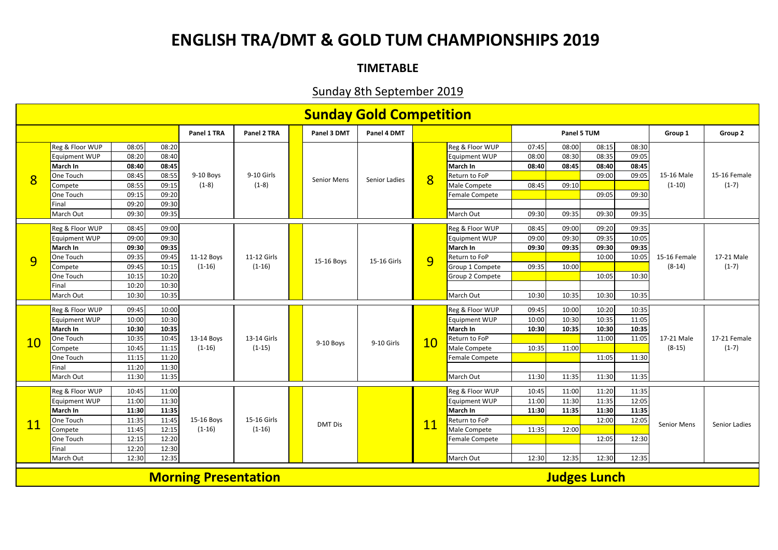## **ENGLISH TRA/DMT & GOLD TUM CHAMPIONSHIPS 2019**

## **TIMETABLE**

## Sunday 8th September 2019

| <b>Sunday Gold Competition</b>                     |                 |       |             |                        |                         |             |                    |               |                |                      |       |       |       |         |                          |                         |
|----------------------------------------------------|-----------------|-------|-------------|------------------------|-------------------------|-------------|--------------------|---------------|----------------|----------------------|-------|-------|-------|---------|--------------------------|-------------------------|
|                                                    |                 |       | Panel 1 TRA | Panel 2 TRA            |                         | Panel 3 DMT | Panel 4 DMT        |               |                | Panel 5 TUM          |       |       |       | Group 1 | Group 2                  |                         |
| $\overline{8}$                                     | Reg & Floor WUP | 08:05 | 08:20       | $9-10$ Boys<br>$(1-8)$ |                         |             |                    | Senior Ladies |                | Reg & Floor WUP      | 07:45 | 08:00 | 08:15 | 08:30   | 15-16 Male<br>$(1-10)$   | 15-16 Female<br>$(1-7)$ |
|                                                    | Equipment WUP   | 08:20 | 08:40       |                        | 9-10 Girls<br>$(1-8)$   |             | <b>Senior Mens</b> |               | $\overline{8}$ | Equipment WUP        | 08:00 | 08:30 | 08:35 | 09:05   |                          |                         |
|                                                    | March In        | 08:40 | 08:45       |                        |                         |             |                    |               |                | March In             | 08:40 | 08:45 | 08:40 | 08:45   |                          |                         |
|                                                    | One Touch       | 08:45 | 08:55       |                        |                         |             |                    |               |                | <b>Return to FoP</b> |       |       | 09:00 | 09:05   |                          |                         |
|                                                    | Compete         | 08:55 | 09:15       |                        |                         |             |                    |               |                | Male Compete         | 08:45 | 09:10 |       |         |                          |                         |
|                                                    | One Touch       | 09:15 | 09:20       |                        |                         |             |                    |               |                | Female Compete       |       |       | 09:05 | 09:30   |                          |                         |
|                                                    | Final           | 09:20 | 09:30       |                        |                         |             |                    |               |                |                      |       |       |       |         |                          |                         |
|                                                    | March Out       | 09:30 | 09:35       |                        |                         |             |                    |               |                | March Out            | 09:30 | 09:35 | 09:30 | 09:35   |                          |                         |
|                                                    | Reg & Floor WUP | 08:45 | 09:00       |                        | 11-12 Girls<br>$(1-16)$ |             | 15-16 Boys         | 15-16 Girls   | 9              | Reg & Floor WUP      | 08:45 | 09:00 | 09:20 | 09:35   | 15-16 Female<br>$(8-14)$ | 17-21 Male<br>$(1-7)$   |
|                                                    | Equipment WUP   | 09:00 | 09:30       | 11-12 Boys<br>$(1-16)$ |                         |             |                    |               |                | Equipment WUP        | 09:00 | 09:30 | 09:35 | 10:05   |                          |                         |
| 9                                                  | March In        | 09:30 | 09:35       |                        |                         |             |                    |               |                | March In             | 09:30 | 09:35 | 09:30 | 09:35   |                          |                         |
|                                                    | One Touch       | 09:35 | 09:45       |                        |                         |             |                    |               |                | Return to FoP        |       |       | 10:00 | 10:05   |                          |                         |
|                                                    | Compete         | 09:45 | 10:15       |                        |                         |             |                    |               |                | Group 1 Compete      | 09:35 | 10:00 |       |         |                          |                         |
|                                                    | One Touch       | 10:15 | 10:20       |                        |                         |             |                    |               |                | Group 2 Compete      |       |       | 10:05 | 10:30   |                          |                         |
|                                                    | Final           | 10:20 | 10:30       |                        |                         |             |                    |               |                |                      |       |       |       |         |                          |                         |
|                                                    | March Out       | 10:30 | 10:35       |                        |                         |             |                    |               |                | March Out            | 10:30 | 10:35 | 10:30 | 10:35   |                          |                         |
|                                                    |                 |       |             |                        |                         |             |                    |               |                |                      |       |       |       |         |                          |                         |
|                                                    | Reg & Floor WUP | 09:45 | 10:00       | 13-14 Boys<br>$(1-16)$ | 13-14 Girls<br>$(1-15)$ |             | 9-10 Boys          | 9-10 Girls    | 10             | Reg & Floor WUP      | 09:45 | 10:00 | 10:20 | 10:35   | 17-21 Male<br>$(8-15)$   | 17-21 Female<br>$(1-7)$ |
|                                                    | Equipment WUP   | 10:00 | 10:30       |                        |                         |             |                    |               |                | Equipment WUP        | 10:00 | 10:30 | 10:35 | 11:05   |                          |                         |
|                                                    | March In        | 10:30 | 10:35       |                        |                         |             |                    |               |                | March In             | 10:30 | 10:35 | 10:30 | 10:35   |                          |                         |
| 10                                                 | One Touch       | 10:35 | 10:45       |                        |                         |             |                    |               |                | Return to FoP        |       |       | 11:00 | 11:05   |                          |                         |
|                                                    | Compete         | 10:45 | 11:15       |                        |                         |             |                    |               |                | Male Compete         | 10:35 | 11:00 |       |         |                          |                         |
|                                                    | One Touch       | 11:15 | 11:20       |                        |                         |             |                    |               |                | Female Compete       |       |       | 11:05 | 11:30   |                          |                         |
|                                                    | Final           | 11:20 | 11:30       |                        |                         |             |                    |               |                |                      |       |       |       |         |                          |                         |
|                                                    | March Out       | 11:30 | 11:35       |                        |                         |             |                    |               |                | March Out            | 11:30 | 11:35 | 11:30 | 11:35   |                          |                         |
| <b>11</b>                                          | Reg & Floor WUP | 10:45 | 11:00       | 15-16 Boys<br>$(1-16)$ | 15-16 Girls<br>$(1-16)$ |             |                    |               |                | Reg & Floor WUP      | 10:45 | 11:00 | 11:20 | 11:35   |                          |                         |
|                                                    | Equipment WUP   | 11:00 | 11:30       |                        |                         |             |                    |               | <b>11</b>      | Equipment WUP        | 11:00 | 11:30 | 11:35 | 12:05   | Senior Mens              | Senior Ladies           |
|                                                    | March In        | 11:30 | 11:35       |                        |                         |             |                    |               |                | March In             | 11:30 | 11:35 | 11:30 | 11:35   |                          |                         |
|                                                    | One Touch       | 11:35 | 11:45       |                        |                         |             |                    |               |                | Return to FoP        |       |       | 12:00 | 12:05   |                          |                         |
|                                                    | Compete         | 11:45 | 12:15       |                        |                         |             | <b>DMT Dis</b>     |               |                | Male Compete         | 11:35 | 12:00 |       |         |                          |                         |
|                                                    | One Touch       | 12:15 | 12:20       |                        |                         |             |                    |               |                | Female Compete       |       |       | 12:05 | 12:30   |                          |                         |
|                                                    | Final           | 12:20 | 12:30       |                        |                         |             |                    |               |                |                      |       |       |       |         |                          |                         |
|                                                    | March Out       | 12:30 | 12:35       |                        |                         |             |                    |               |                | March Out            | 12:30 | 12:35 | 12:30 | 12:35   |                          |                         |
| <b>Judges Lunch</b><br><b>Morning Presentation</b> |                 |       |             |                        |                         |             |                    |               |                |                      |       |       |       |         |                          |                         |